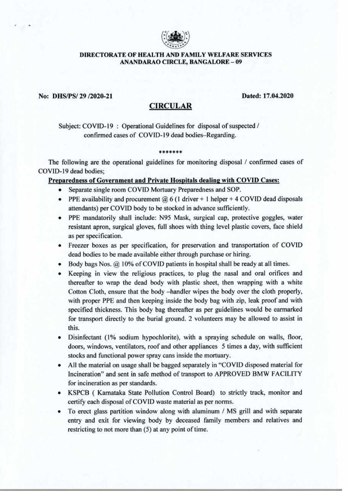

## DIRECTORATE OF HEALTH AND FAMILY WELFARE SERVICES ANANDARAO CIRCLE, BANGALORE - 09

No: DHS/PS/ 29 /2020-21 Dated: 17.04.2020

# CIRCULAR

Subject: COVID-I9 : Operational Guidelines for disposal of suspected / confirmed cases of COVID-I9 dead bodies-Regarding.

#### ,1.\*{.\*\*\*\*

The following are the operational guidelines for monitoring disposal / confirmed cases of COVID-I9 dead bodies;

#### Preparedness of Government and Private Hospitals dealing with COVID Cases:

- Separate single room COVID Mortuary Preparedness and SOP.
- PPE availability and procurement  $@6$  (1 driver + 1 helper + 4 COVID dead disposals attendants) per COVID body to be stocked in advance sufficiently.
- PPE mandatorily shall include: N95 Mask, surgical cap, protective goggles, water resistant apron, surgical gloves, full shoes with thing level plastic covers, face shield as per specification.
- Freezer boxes as per specification, for preservation and transportation of COVID dead bodies to be made available either through purchase or hiring.
- Body bags Nos. @ 10% of COVID patients in hospital shall be ready at all times.
- Keeping in view the religious practices, to plug the nasal and oral orifices and thereafter to wrap the dead body with plastic sheet, then wrapping with a white Cotton Cloth, ensure that the body -handler wipes the body over the cloth properly, with proper PPE and then keeping inside the body bag with zip, leak proof and with specified thickness. This body bag thereafter as per guidelines would be earmarked for transport directly to the burial ground. 2 volunteers may be allowed to assist in this. o
- Disinfectant (l% sodium hypochlorite), with a spraying schedule on walls, floor, doors, windows, ventilators, roof and other appliances 5 times a day, with sufficient stocks and functional power spray cans inside the mortuary.
- All the material on usage shall be bagged separately in "COVID disposed material for Incineration" and sent in safe method of transport to APPROVED BMW FACILITY for incineration as per standards.
- KSPCB ( Karnataka State Pollution Control Board) to strictly track, monitor and certify each disposal of COVID waste material as per norrns.
- To erect glass partition window along with aluminum / MS grill and with separate ٠ entry and exit for viewing body by deceased family members and relatives andrestricting to not more than (5) at any point of time.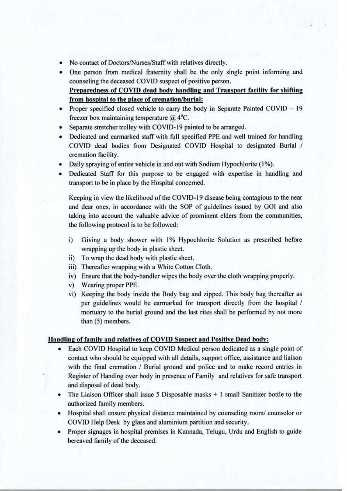- No contact of Doctors/Nurses/Staff with relatives directly.
- One person from medical fraternity shall be the only single point informing and counseling the deceased COVID suspect of positive person. Preparedness of COVID dead body handling and Transport facility for shifting from hospital to the place of cremation/burial:
- Proper specified closed vehicle to carry the body in Separate Painted COVID 19 freezer box maintaining temperature  $@$  4°C.
- Separate stretcher trolley with COVID-19 painted to be arranged.
- Dedicated and earmarked staff with full specified PPE and well trained for handling COVID dead bodies from Designated COVID Hospital to designated Burial / cremation facility.
- . Daily spraying of entire vehicle in and out with Sodium Hypochlorite (l%).
- Dedicated Staff for this purpose to be engaged with expertise in handling and transport to be in place by the Hospital concerned.

Keeping in view the likelihood of the COVID-19 disease being contagious to the near and dear ones, in accordance with the SOP of guidelines issued by GOI and also taking into account the valuable advice of prominent elders from the communities, the following protocol is to be followed:

- i) Giving a body shower with 1% Hypochlorite Solution as prescribed before wrapping up the body in plastic sheet.
- ii) To wrap the dead body with plastic sheet.
- iii) Thereafter wrapping with a White Cotton Cloth.
- iv) Ensure that the body-handler wipes the body over the cloth wrapping properly.
- v) Wearing proper PPE.
- vi) Keeping the body inside the Body bag and zipped. This body bag thereafter as per guidelines would be earmarked for transport directly from the hospital / mortuary to the burial ground and the last rites shall be performed by not more than (5) members.

# Handline of familv and relatives of COVID Suspect and Positive Dead bodv:

- Each COVID Hospital to keep COVID Medical person dedicated as a single point of contact who should be equipped with all details, support office, assistance and liaison with the final cremation / Burial ground and police and to make record entries in Register of Handing over body in presence of Family and relatives for safe transport and disposal of dead body.
- The Liaison Officer shall issue 5 Disposable masks  $+1$  small Sanitizer bottle to the authorized family members.
- o Hospital shall ensure physical distance maintained by counseling room/ counselor or COVID Help Desk by glass and aluminium partition and security.
- o Proper signages in hospital premises in Kannada, Telugu, Urdu and English to guide bereaved family of the deceased.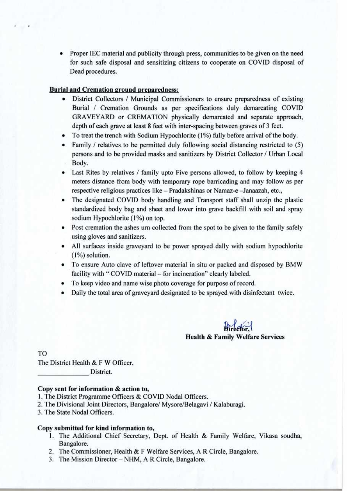. Proper IEC material and publicity through press, communities to be given on the need for such safe disposal and sensitizing citizens to cooperate on COVID disposal of Dead procedures.

# Burial and Cremation ground preparedness:

- o District Collectors / Municipal Commissioners to ensure preparedness of existing Burial / Cremation Grounds as per specifications duly demarcating COVID GRAVEYARD or CREMATION physically demarcated and separate approach, depth of each grave at least 8 feet with inter-spacing between graves of 3 feet.
- To treat the trench with Sodium Hypochlorite (1%) fully before arrival of the body.
- . Family / relatives to be permitted duly following social distancing restricted to (5) persons and to be provided masks and sanitizers by District Collector / Urban Local Body.
- Last Rites by relatives / family upto Five persons allowed, to follow by keeping 4 meters distance from body with temporary rope barricading and may follow as per respective religious practices like - Pradakshinas or Namaz-e -Janaazah, etc.,
- o The designated COVID body handling and Transport staff shall unzip the plastic standardized body bag and sheet and lower into grave backfill with soil and spray sodium Hypochlorite (1%) on top.
- Post cremation the ashes urn collected from the spot to be given to the family safely using gloves and sanitizers.
- o All surfaces inside graveyard to be power sprayed dally with sodium hypochlorite (l%) solution.
- o To ensure Auto clave of leftover material in situ or packed and disposed by BMW facility with " COVID material - for incineration" clearly labeled.
- To keep video and name wise photo coverage for purpose of record.
- . Daily the total area of graveyard designated to be sprayed with disinfectant twice.

blirector, Health & Family Welfare Services

TO

The District Health & F W Officer, District.

# Copy sent for information & action to,

- l. The District Programme Officers & COVID Nodal Officers.
- 2.The Divisional Joint Directors, Bangalore/ Mysore/Belagavi / Kalaburagi.
- 3. The State Nodal Officers.

### Copy submitted for kind information to,

- 1. The Additional Chief Secretary, Dept. of Health & Family Welfare, Vikasa soudha Bangalore.
- 2. The Commissioner, Health & F Welfare Services, A R Circle, Bangalore.
- 3. The Mission Director-NHM, A R Circle, Bangalore.